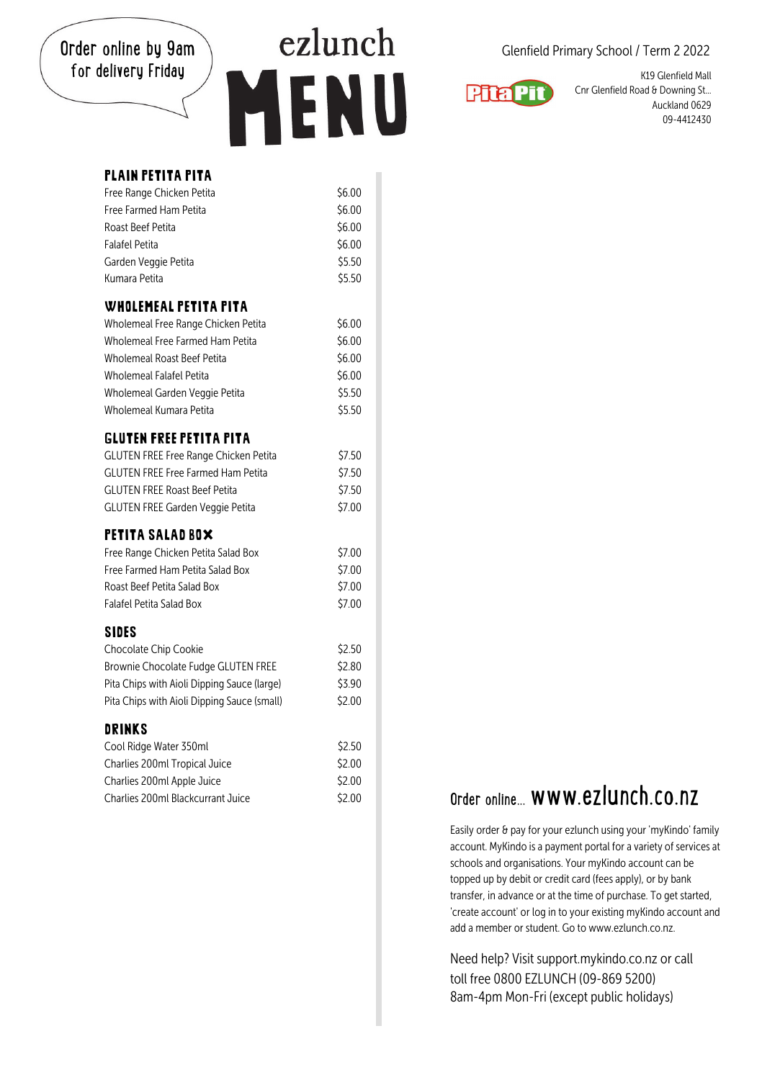Order online by 9am for delivery Friday

# ezlunch ENU

Glenfield Primary School / Term 2 2022



K19 Glenfield Mall Cnr Glenfield Road & Downing St... Auckland 0629 09-4412430

| <b>PLAIN PETITA PITA</b>                    |        |
|---------------------------------------------|--------|
| Free Range Chicken Petita                   | \$6.00 |
| Free Farmed Ham Petita                      | \$6.00 |
| Roast Beef Petita                           | \$6.00 |
| <b>Falafel Petita</b>                       | \$6.00 |
| Garden Veggie Petita                        | \$5.50 |
| Kumara Petita                               | \$5.50 |
| <b>WHOLEMEAL PETITA PITA</b>                |        |
| Wholemeal Free Range Chicken Petita         | \$6.00 |
| Wholemeal Free Farmed Ham Petita            | \$6.00 |
| <b>Wholemeal Roast Beef Petita</b>          | \$6.00 |
| <b>Wholemeal Falafel Petita</b>             | \$6.00 |
| Wholemeal Garden Veggie Petita              | \$5.50 |
| Wholemeal Kumara Petita                     | \$5.50 |
| <b>GLUTEN FREE PETITA PITA</b>              |        |
| GLUTEN FREE Free Range Chicken Petita       | \$7.50 |
| <b>GLUTEN FREE Free Farmed Ham Petita</b>   | \$7.50 |
| <b>GLUTEN FREE Roast Beef Petita</b>        | \$7.50 |
| <b>GLUTEN FREE Garden Veggie Petita</b>     | \$7.00 |
| PETITA SALAD ROX                            |        |
| Free Range Chicken Petita Salad Box         | \$7.00 |
| Free Farmed Ham Petita Salad Box            | \$7.00 |
| Roast Beef Petita Salad Box                 | \$7.00 |
| <b>Falafel Petita Salad Box</b>             | \$7.00 |
| <b>SIDES</b>                                |        |
| Chocolate Chip Cookie                       | \$2.50 |
| Brownie Chocolate Fudge GLUTEN FREE         | \$2.80 |
| Pita Chips with Aioli Dipping Sauce (large) | \$3.90 |
| Pita Chips with Aioli Dipping Sauce (small) | \$2.00 |
| DRINKS                                      |        |
| Cool Ridge Water 350ml                      | \$2.50 |
| Charlies 200ml Tropical Juice               | \$2.00 |
| Charlies 200ml Apple Juice                  | \$2.00 |
| Charlies 200ml Blackcurrant Juice           | \$2.00 |

## $\overline{\text{C}}$   $\overline{\text{C}}$   $\overline{\text{C}}$  order online... www.ezlunch.co.nz

Easily order & pay for your ezlunch using your 'myKindo' family account. MyKindo is a payment portal for a variety of services at schools and organisations. Your myKindo account can be topped up by debit or credit card (fees apply), or by bank transfer, in advance or at the time of purchase. To get started, 'create account' or log in to your existing myKindo account and add a member or student. Go to www.ezlunch.co.nz.

Need help? Visit support.mykindo.co.nz or call toll free 0800 F7LUNCH (09-869 5200) 8am-4pm Mon-Fri (except public holidays)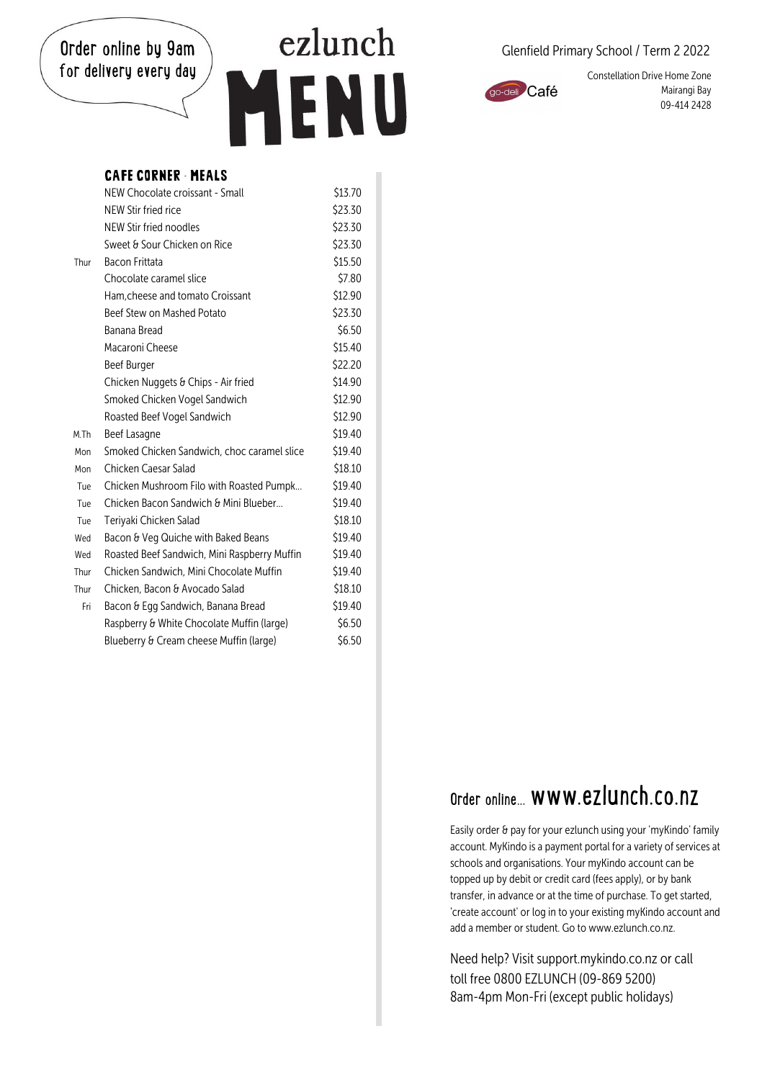#### Order online by 9am for delivery every day

## ezlunch ENU

#### Glenfield Primary School / Term 2 2022



Constellation Drive Home Zone Mairangi Bay 09-414 2428

### CAFE CORNER - MEALS

|      | NEW Chocolate croissant - Small              | S13./0  |
|------|----------------------------------------------|---------|
|      | NFW Stir fried rice                          | \$23.30 |
|      | NEW Stir fried noodles                       | \$23.30 |
|      | Sweet & Sour Chicken on Rice                 | \$23.30 |
| Thur | Bacon Frittata                               | \$15.50 |
|      | Chocolate caramel slice                      | \$7.80  |
|      | Ham.cheese and tomato Croissant              | \$12.90 |
|      | Beef Stew on Mashed Potato                   | \$23.30 |
|      | Banana Bread                                 | \$6.50  |
|      | Macaroni Cheese                              | \$15.40 |
|      | <b>Beef Burger</b>                           | \$22.20 |
|      | Chicken Nuggets & Chips - Air fried          | \$14.90 |
|      | Smoked Chicken Vogel Sandwich                | \$12.90 |
|      | Roasted Beef Vogel Sandwich                  | \$12.90 |
| M.Th | Beef Lasagne                                 | \$19.40 |
| Mon  | Smoked Chicken Sandwich, choc caramel slice  | \$19.40 |
| Mon  | Chicken Caesar Salad                         | \$18.10 |
| Tue  | Chicken Mushroom Filo with Roasted Pumpk     | \$19.40 |
| Tue  | Chicken Bacon Sandwich & Mini Blueber        | \$19.40 |
| Tue  | Teriyaki Chicken Salad                       | \$18.10 |
| Wed  | Bacon & Veg Quiche with Baked Beans          | \$19.40 |
| Wed  | Roasted Beef Sandwich, Mini Raspberry Muffin | \$19.40 |
| Thur | Chicken Sandwich, Mini Chocolate Muffin      | \$19.40 |
| Thur | Chicken. Bacon & Avocado Salad               | \$18.10 |
| Fri  | Bacon & Egg Sandwich, Banana Bread           | \$19.40 |
|      | Raspberry & White Chocolate Muffin (large)   | \$6.50  |
|      | Blueberry & Cream cheese Muffin (large)      | \$6.50  |

### Order online. www.ezlunch.co.nz

Easily order & pay for your ezlunch using your 'myKindo' family account. MyKindo is a payment portal for a variety of services at schools and organisations. Your myKindo account can be topped up by debit or credit card (fees apply), or by bank transfer, in advance or at the time of purchase. To get started, 'create account' or log in to your existing myKindo account and add a member or student. Go to www.ezlunch.co.nz.

Need help? Visit support.mykindo.co.nz or call toll free 0800 F7LUNCH (09-869 5200) 8am-4pm Mon-Fri (except public holidays)